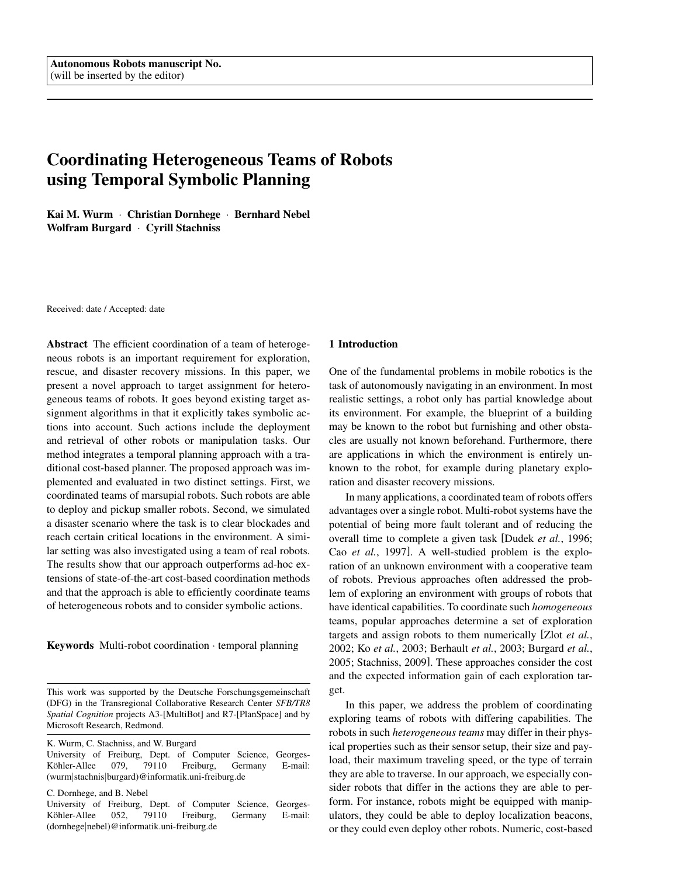# **Coordinating Heterogeneous Teams of Robots using Temporal Symbolic Planning**

**Kai M. Wurm** · **Christian Dornhege** · **Bernhard Nebel Wolfram Burgard** · **Cyrill Stachniss**

Received: date / Accepted: date

**Abstract** The efficient coordination of a team of heterogeneous robots is an important requirement for exploration, rescue, and disaster recovery missions. In this paper, we present a novel approach to target assignment for heterogeneous teams of robots. It goes beyond existing target assignment algorithms in that it explicitly takes symbolic actions into account. Such actions include the deployment and retrieval of other robots or manipulation tasks. Our method integrates a temporal planning approach with a traditional cost-based planner. The proposed approach was implemented and evaluated in two distinct settings. First, we coordinated teams of marsupial robots. Such robots are able to deploy and pickup smaller robots. Second, we simulated a disaster scenario where the task is to clear blockades and reach certain critical locations in the environment. A similar setting was also investigated using a team of real robots. The results show that our approach outperforms ad-hoc extensions of state-of-the-art cost-based coordination methods and that the approach is able to efficiently coordinate teams of heterogeneous robots and to consider symbolic actions.

**Keywords** Multi-robot coordination · temporal planning

K. Wurm, C. Stachniss, and W. Burgard

## **1 Introduction**

One of the fundamental problems in mobile robotics is the task of autonomously navigating in an environment. In most realistic settings, a robot only has partial knowledge about its environment. For example, the blueprint of a building may be known to the robot but furnishing and other obstacles are usually not known beforehand. Furthermore, there are applications in which the environment is entirely unknown to the robot, for example during planetary exploration and disaster recovery missions.

In many applications, a coordinated team of robots offers advantages over a single robot. Multi-robot systems have the potential of being more fault tolerant and of reducing the overall time to complete a given task [Dudek *et al.*, 1996; Cao *et al.*, 1997]. A well-studied problem is the exploration of an unknown environment with a cooperative team of robots. Previous approaches often addressed the problem of exploring an environment with groups of robots that have identical capabilities. To coordinate such *homogeneous* teams, popular approaches determine a set of exploration targets and assign robots to them numerically [Zlot *et al.*, 2002; Ko *et al.*, 2003; Berhault *et al.*, 2003; Burgard *et al.*, 2005; Stachniss, 2009]. These approaches consider the cost and the expected information gain of each exploration target.

In this paper, we address the problem of coordinating exploring teams of robots with differing capabilities. The robots in such *heterogeneous teams* may differ in their physical properties such as their sensor setup, their size and payload, their maximum traveling speed, or the type of terrain they are able to traverse. In our approach, we especially consider robots that differ in the actions they are able to perform. For instance, robots might be equipped with manipulators, they could be able to deploy localization beacons, or they could even deploy other robots. Numeric, cost-based

This work was supported by the Deutsche Forschungsgemeinschaft (DFG) in the Transregional Collaborative Research Center *SFB/TR8 Spatial Cognition* projects A3-[MultiBot] and R7-[PlanSpace] and by Microsoft Research, Redmond.

University of Freiburg, Dept. of Computer Science, Georges-Köhler-Allee 079, 79110 Freiburg, Germany E-mail: (wurm|stachnis|burgard)@informatik.uni-freiburg.de

C. Dornhege, and B. Nebel

University of Freiburg, Dept. of Computer Science, Georges-<br>Köhler-Allee 052, 79110 Freiburg, Germany E-mail: Köhler-Allee 052, 79110 Freiburg, Germany E-mail: (dornhege|nebel)@informatik.uni-freiburg.de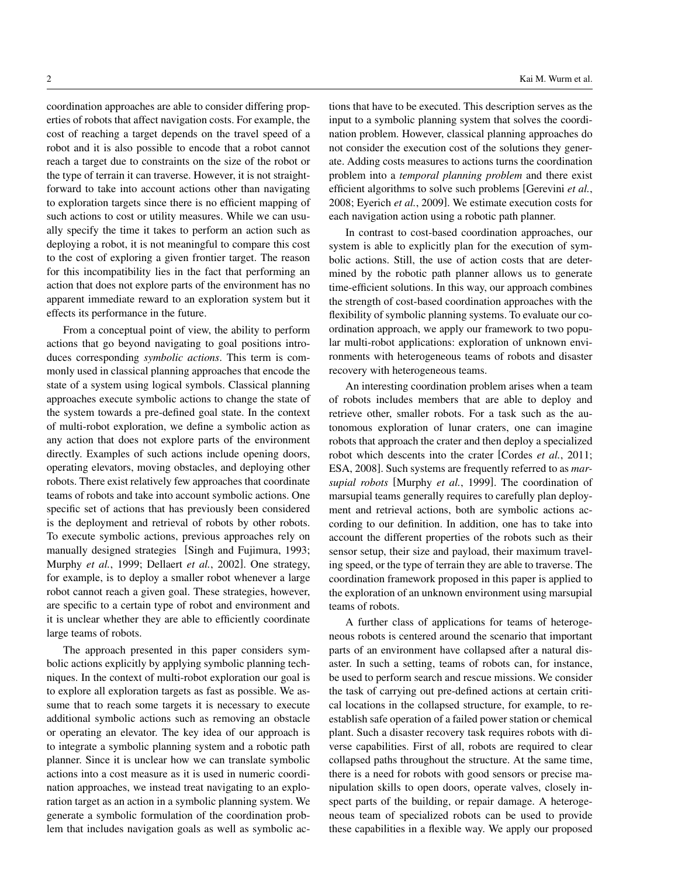coordination approaches are able to consider differing properties of robots that affect navigation costs. For example, the cost of reaching a target depends on the travel speed of a robot and it is also possible to encode that a robot cannot reach a target due to constraints on the size of the robot or the type of terrain it can traverse. However, it is not straightforward to take into account actions other than navigating to exploration targets since there is no efficient mapping of such actions to cost or utility measures. While we can usually specify the time it takes to perform an action such as deploying a robot, it is not meaningful to compare this cost to the cost of exploring a given frontier target. The reason for this incompatibility lies in the fact that performing an action that does not explore parts of the environment has no apparent immediate reward to an exploration system but it effects its performance in the future.

From a conceptual point of view, the ability to perform actions that go beyond navigating to goal positions introduces corresponding *symbolic actions*. This term is commonly used in classical planning approaches that encode the state of a system using logical symbols. Classical planning approaches execute symbolic actions to change the state of the system towards a pre-defined goal state. In the context of multi-robot exploration, we define a symbolic action as any action that does not explore parts of the environment directly. Examples of such actions include opening doors, operating elevators, moving obstacles, and deploying other robots. There exist relatively few approaches that coordinate teams of robots and take into account symbolic actions. One specific set of actions that has previously been considered is the deployment and retrieval of robots by other robots. To execute symbolic actions, previous approaches rely on manually designed strategies [Singh and Fujimura, 1993; Murphy *et al.*, 1999; Dellaert *et al.*, 2002]. One strategy, for example, is to deploy a smaller robot whenever a large robot cannot reach a given goal. These strategies, however, are specific to a certain type of robot and environment and it is unclear whether they are able to efficiently coordinate large teams of robots.

The approach presented in this paper considers symbolic actions explicitly by applying symbolic planning techniques. In the context of multi-robot exploration our goal is to explore all exploration targets as fast as possible. We assume that to reach some targets it is necessary to execute additional symbolic actions such as removing an obstacle or operating an elevator. The key idea of our approach is to integrate a symbolic planning system and a robotic path planner. Since it is unclear how we can translate symbolic actions into a cost measure as it is used in numeric coordination approaches, we instead treat navigating to an exploration target as an action in a symbolic planning system. We generate a symbolic formulation of the coordination problem that includes navigation goals as well as symbolic actions that have to be executed. This description serves as the input to a symbolic planning system that solves the coordination problem. However, classical planning approaches do not consider the execution cost of the solutions they generate. Adding costs measures to actions turns the coordination problem into a *temporal planning problem* and there exist efficient algorithms to solve such problems [Gerevini *et al.*, 2008; Eyerich *et al.*, 2009]. We estimate execution costs for each navigation action using a robotic path planner.

In contrast to cost-based coordination approaches, our system is able to explicitly plan for the execution of symbolic actions. Still, the use of action costs that are determined by the robotic path planner allows us to generate time-efficient solutions. In this way, our approach combines the strength of cost-based coordination approaches with the flexibility of symbolic planning systems. To evaluate our coordination approach, we apply our framework to two popular multi-robot applications: exploration of unknown environments with heterogeneous teams of robots and disaster recovery with heterogeneous teams.

An interesting coordination problem arises when a team of robots includes members that are able to deploy and retrieve other, smaller robots. For a task such as the autonomous exploration of lunar craters, one can imagine robots that approach the crater and then deploy a specialized robot which descents into the crater [Cordes *et al.*, 2011; ESA, 2008]. Such systems are frequently referred to as *marsupial robots* [Murphy *et al.*, 1999]. The coordination of marsupial teams generally requires to carefully plan deployment and retrieval actions, both are symbolic actions according to our definition. In addition, one has to take into account the different properties of the robots such as their sensor setup, their size and payload, their maximum traveling speed, or the type of terrain they are able to traverse. The coordination framework proposed in this paper is applied to the exploration of an unknown environment using marsupial teams of robots.

A further class of applications for teams of heterogeneous robots is centered around the scenario that important parts of an environment have collapsed after a natural disaster. In such a setting, teams of robots can, for instance, be used to perform search and rescue missions. We consider the task of carrying out pre-defined actions at certain critical locations in the collapsed structure, for example, to reestablish safe operation of a failed power station or chemical plant. Such a disaster recovery task requires robots with diverse capabilities. First of all, robots are required to clear collapsed paths throughout the structure. At the same time, there is a need for robots with good sensors or precise manipulation skills to open doors, operate valves, closely inspect parts of the building, or repair damage. A heterogeneous team of specialized robots can be used to provide these capabilities in a flexible way. We apply our proposed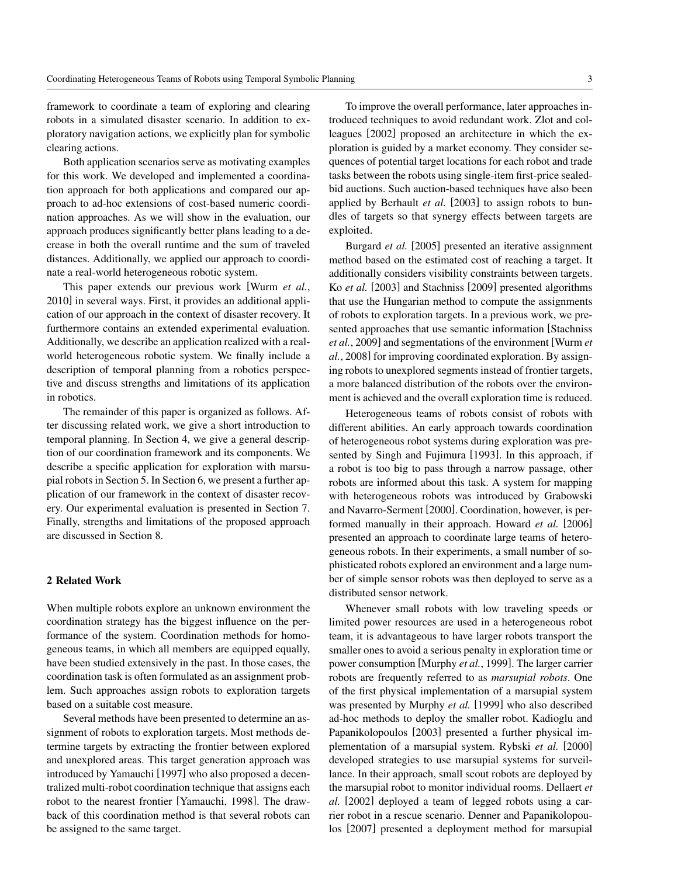framework to coordinate a team of exploring and clearing robots in a simulated disaster scenario. In addition to exploratory navigation actions, we explicitly plan for symbolic clearing actions.

Both application scenarios serve as motivating examples for this work. We developed and implemented a coordination approach for both applications and compared our approach to ad-hoc extensions of cost-based numeric coordination approaches. As we will show in the evaluation, our approach produces significantly better plans leading to a decrease in both the overall runtime and the sum of traveled distances. Additionally, we applied our approach to coordinate a real-world heterogeneous robotic system.

This paper extends our previous work [Wurm *et al.*, 2010] in several ways. First, it provides an additional application of our approach in the context of disaster recovery. It furthermore contains an extended experimental evaluation. Additionally, we describe an application realized with a realworld heterogeneous robotic system. We finally include a description of temporal planning from a robotics perspective and discuss strengths and limitations of its application in robotics.

The remainder of this paper is organized as follows. After discussing related work, we give a short introduction to temporal planning. In Section 4, we give a general description of our coordination framework and its components. We describe a specific application for exploration with marsupial robots in Section 5. In Section 6, we present a further application of our framework in the context of disaster recovery. Our experimental evaluation is presented in Section 7. Finally, strengths and limitations of the proposed approach are discussed in Section 8.

# **2 Related Work**

When multiple robots explore an unknown environment the coordination strategy has the biggest influence on the performance of the system. Coordination methods for homogeneous teams, in which all members are equipped equally, have been studied extensively in the past. In those cases, the coordination task is often formulated as an assignment problem. Such approaches assign robots to exploration targets based on a suitable cost measure.

Several methods have been presented to determine an assignment of robots to exploration targets. Most methods determine targets by extracting the frontier between explored and unexplored areas. This target generation approach was introduced by Yamauchi [1997] who also proposed a decentralized multi-robot coordination technique that assigns each robot to the nearest frontier [Yamauchi, 1998]. The drawback of this coordination method is that several robots can be assigned to the same target.

To improve the overall performance, later approaches introduced techniques to avoid redundant work. Zlot and colleagues [2002] proposed an architecture in which the exploration is guided by a market economy. They consider sequences of potential target locations for each robot and trade tasks between the robots using single-item first-price sealedbid auctions. Such auction-based techniques have also been applied by Berhault *et al.* [2003] to assign robots to bundles of targets so that synergy effects between targets are exploited.

Burgard *et al.* [2005] presented an iterative assignment method based on the estimated cost of reaching a target. It additionally considers visibility constraints between targets. Ko *et al.* [2003] and Stachniss [2009] presented algorithms that use the Hungarian method to compute the assignments of robots to exploration targets. In a previous work, we presented approaches that use semantic information [Stachniss *et al.*, 2009] and segmentations of the environment [Wurm *et al.*, 2008] for improving coordinated exploration. By assigning robots to unexplored segments instead of frontier targets, a more balanced distribution of the robots over the environment is achieved and the overall exploration time is reduced.

Heterogeneous teams of robots consist of robots with different abilities. An early approach towards coordination of heterogeneous robot systems during exploration was presented by Singh and Fujimura [1993]. In this approach, if a robot is too big to pass through a narrow passage, other robots are informed about this task. A system for mapping with heterogeneous robots was introduced by Grabowski and Navarro-Serment [2000]. Coordination, however, is performed manually in their approach. Howard *et al.* [2006] presented an approach to coordinate large teams of heterogeneous robots. In their experiments, a small number of sophisticated robots explored an environment and a large number of simple sensor robots was then deployed to serve as a distributed sensor network.

Whenever small robots with low traveling speeds or limited power resources are used in a heterogeneous robot team, it is advantageous to have larger robots transport the smaller ones to avoid a serious penalty in exploration time or power consumption [Murphy *et al.*, 1999]. The larger carrier robots are frequently referred to as *marsupial robots*. One of the first physical implementation of a marsupial system was presented by Murphy *et al.* [1999] who also described ad-hoc methods to deploy the smaller robot. Kadioglu and Papanikolopoulos [2003] presented a further physical implementation of a marsupial system. Rybski *et al.* [2000] developed strategies to use marsupial systems for surveillance. In their approach, small scout robots are deployed by the marsupial robot to monitor individual rooms. Dellaert *et al.* [2002] deployed a team of legged robots using a carrier robot in a rescue scenario. Denner and Papanikolopoulos [2007] presented a deployment method for marsupial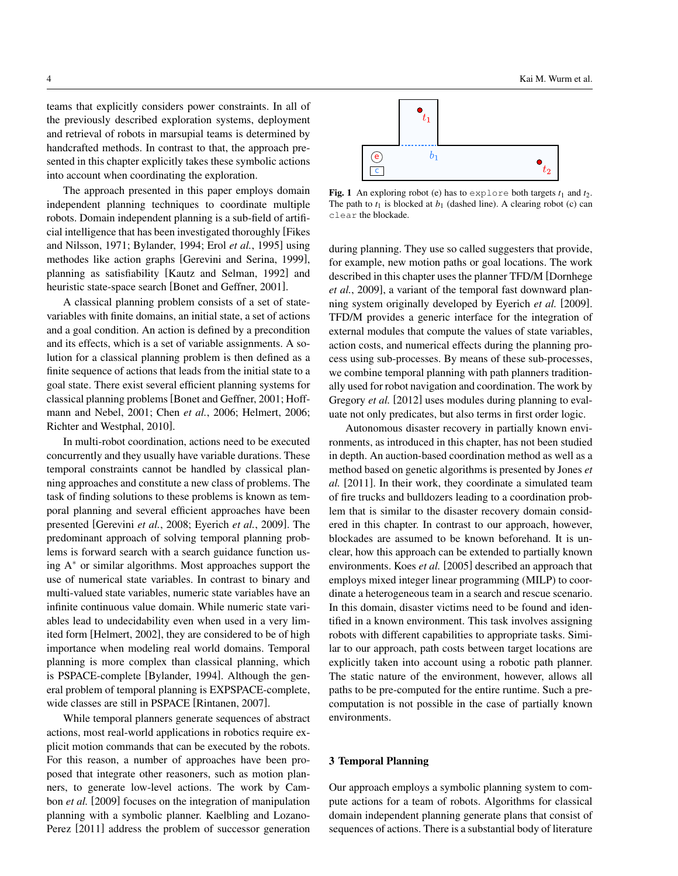teams that explicitly considers power constraints. In all of the previously described exploration systems, deployment and retrieval of robots in marsupial teams is determined by handcrafted methods. In contrast to that, the approach presented in this chapter explicitly takes these symbolic actions into account when coordinating the exploration.

The approach presented in this paper employs domain independent planning techniques to coordinate multiple robots. Domain independent planning is a sub-field of artificial intelligence that has been investigated thoroughly [Fikes and Nilsson, 1971; Bylander, 1994; Erol *et al.*, 1995] using methodes like action graphs [Gerevini and Serina, 1999], planning as satisfiability [Kautz and Selman, 1992] and heuristic state-space search [Bonet and Geffner, 2001].

A classical planning problem consists of a set of statevariables with finite domains, an initial state, a set of actions and a goal condition. An action is defined by a precondition and its effects, which is a set of variable assignments. A solution for a classical planning problem is then defined as a finite sequence of actions that leads from the initial state to a goal state. There exist several efficient planning systems for classical planning problems [Bonet and Geffner, 2001; Hoffmann and Nebel, 2001; Chen *et al.*, 2006; Helmert, 2006; Richter and Westphal, 2010].

In multi-robot coordination, actions need to be executed concurrently and they usually have variable durations. These temporal constraints cannot be handled by classical planning approaches and constitute a new class of problems. The task of finding solutions to these problems is known as temporal planning and several efficient approaches have been presented [Gerevini *et al.*, 2008; Eyerich *et al.*, 2009]. The predominant approach of solving temporal planning problems is forward search with a search guidance function using A<sup>∗</sup> or similar algorithms. Most approaches support the use of numerical state variables. In contrast to binary and multi-valued state variables, numeric state variables have an infinite continuous value domain. While numeric state variables lead to undecidability even when used in a very limited form [Helmert, 2002], they are considered to be of high importance when modeling real world domains. Temporal planning is more complex than classical planning, which is PSPACE-complete [Bylander, 1994]. Although the general problem of temporal planning is EXPSPACE-complete, wide classes are still in PSPACE [Rintanen, 2007].

While temporal planners generate sequences of abstract actions, most real-world applications in robotics require explicit motion commands that can be executed by the robots. For this reason, a number of approaches have been proposed that integrate other reasoners, such as motion planners, to generate low-level actions. The work by Cambon *et al.* [2009] focuses on the integration of manipulation planning with a symbolic planner. Kaelbling and Lozano-Perez [2011] address the problem of successor generation



**Fig. 1** An exploring robot (e) has to explore both targets  $t_1$  and  $t_2$ . The path to  $t_1$  is blocked at  $b_1$  (dashed line). A clearing robot (c) can clear the blockade.

during planning. They use so called suggesters that provide, for example, new motion paths or goal locations. The work described in this chapter uses the planner TFD/M [Dornhege *et al.*, 2009], a variant of the temporal fast downward planning system originally developed by Eyerich *et al.* [2009]. TFD/M provides a generic interface for the integration of external modules that compute the values of state variables, action costs, and numerical effects during the planning process using sub-processes. By means of these sub-processes, we combine temporal planning with path planners traditionally used for robot navigation and coordination. The work by Gregory *et al.* [2012] uses modules during planning to evaluate not only predicates, but also terms in first order logic.

Autonomous disaster recovery in partially known environments, as introduced in this chapter, has not been studied in depth. An auction-based coordination method as well as a method based on genetic algorithms is presented by Jones *et al.* [2011]. In their work, they coordinate a simulated team of fire trucks and bulldozers leading to a coordination problem that is similar to the disaster recovery domain considered in this chapter. In contrast to our approach, however, blockades are assumed to be known beforehand. It is unclear, how this approach can be extended to partially known environments. Koes *et al.* [2005] described an approach that employs mixed integer linear programming (MILP) to coordinate a heterogeneous team in a search and rescue scenario. In this domain, disaster victims need to be found and identified in a known environment. This task involves assigning robots with different capabilities to appropriate tasks. Similar to our approach, path costs between target locations are explicitly taken into account using a robotic path planner. The static nature of the environment, however, allows all paths to be pre-computed for the entire runtime. Such a precomputation is not possible in the case of partially known environments.

# **3 Temporal Planning**

Our approach employs a symbolic planning system to compute actions for a team of robots. Algorithms for classical domain independent planning generate plans that consist of sequences of actions. There is a substantial body of literature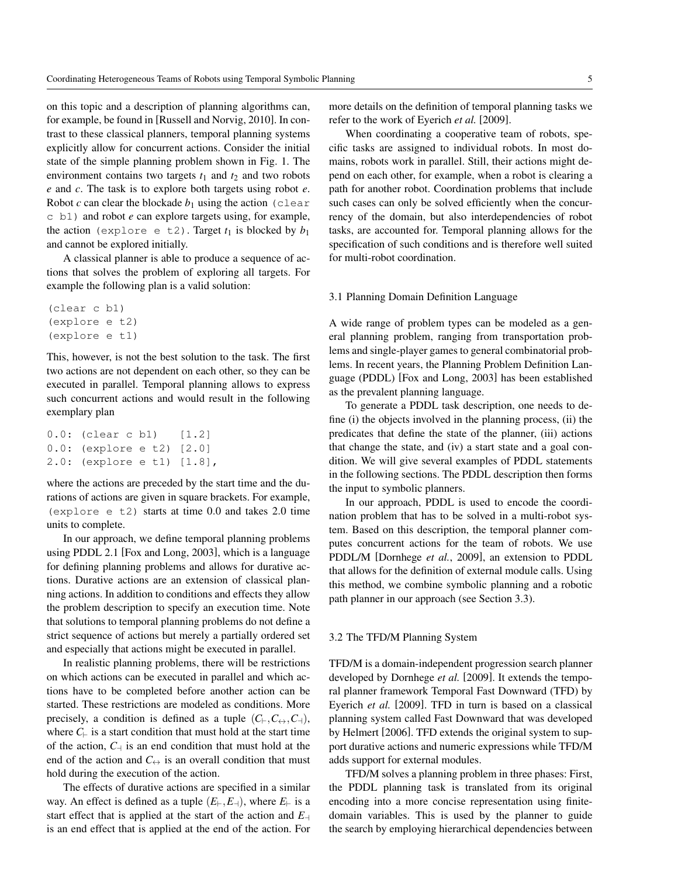on this topic and a description of planning algorithms can, for example, be found in [Russell and Norvig, 2010]. In contrast to these classical planners, temporal planning systems explicitly allow for concurrent actions. Consider the initial state of the simple planning problem shown in Fig. 1. The environment contains two targets  $t_1$  and  $t_2$  and two robots *e* and *c*. The task is to explore both targets using robot *e*. Robot  $c$  can clear the blockade  $b_1$  using the action (clear c b1) and robot *e* can explore targets using, for example, the action (explore e t2). Target  $t_1$  is blocked by  $b_1$ and cannot be explored initially.

A classical planner is able to produce a sequence of actions that solves the problem of exploring all targets. For example the following plan is a valid solution:

```
(clear c b1)
(explore e t2)
(explore e t1)
```
This, however, is not the best solution to the task. The first two actions are not dependent on each other, so they can be executed in parallel. Temporal planning allows to express such concurrent actions and would result in the following exemplary plan

| $0.0$ : (clear c b1)       | $\lceil 1.2 \rceil$ |
|----------------------------|---------------------|
| 0.0: (explore e t2) [2.0]  |                     |
| 2.0: (explore e t1) [1.8], |                     |

where the actions are preceded by the start time and the durations of actions are given in square brackets. For example, (explore e t2) starts at time 0.0 and takes 2.0 time units to complete.

In our approach, we define temporal planning problems using PDDL 2.1 [Fox and Long, 2003], which is a language for defining planning problems and allows for durative actions. Durative actions are an extension of classical planning actions. In addition to conditions and effects they allow the problem description to specify an execution time. Note that solutions to temporal planning problems do not define a strict sequence of actions but merely a partially ordered set and especially that actions might be executed in parallel.

In realistic planning problems, there will be restrictions on which actions can be executed in parallel and which actions have to be completed before another action can be started. These restrictions are modeled as conditions. More precisely, a condition is defined as a tuple  $(C_+, C_+, C_-)$ , where  $C_{\vdash}$  is a start condition that must hold at the start time of the action, *C*<sup>⊣</sup> is an end condition that must hold at the end of the action and  $C_{\leftrightarrow}$  is an overall condition that must hold during the execution of the action.

The effects of durative actions are specified in a similar way. An effect is defined as a tuple  $(E_{\vdash}, E_{\dashv})$ , where  $E_{\vdash}$  is a start effect that is applied at the start of the action and *E*<sup>⊣</sup> is an end effect that is applied at the end of the action. For

more details on the definition of temporal planning tasks we refer to the work of Eyerich *et al.* [2009].

When coordinating a cooperative team of robots, specific tasks are assigned to individual robots. In most domains, robots work in parallel. Still, their actions might depend on each other, for example, when a robot is clearing a path for another robot. Coordination problems that include such cases can only be solved efficiently when the concurrency of the domain, but also interdependencies of robot tasks, are accounted for. Temporal planning allows for the specification of such conditions and is therefore well suited for multi-robot coordination.

# 3.1 Planning Domain Definition Language

A wide range of problem types can be modeled as a general planning problem, ranging from transportation problems and single-player games to general combinatorial problems. In recent years, the Planning Problem Definition Language (PDDL) [Fox and Long, 2003] has been established as the prevalent planning language.

To generate a PDDL task description, one needs to define (i) the objects involved in the planning process, (ii) the predicates that define the state of the planner, (iii) actions that change the state, and (iv) a start state and a goal condition. We will give several examples of PDDL statements in the following sections. The PDDL description then forms the input to symbolic planners.

In our approach, PDDL is used to encode the coordination problem that has to be solved in a multi-robot system. Based on this description, the temporal planner computes concurrent actions for the team of robots. We use PDDL/M [Dornhege *et al.*, 2009], an extension to PDDL that allows for the definition of external module calls. Using this method, we combine symbolic planning and a robotic path planner in our approach (see Section 3.3).

## 3.2 The TFD/M Planning System

TFD/M is a domain-independent progression search planner developed by Dornhege *et al.* [2009]. It extends the temporal planner framework Temporal Fast Downward (TFD) by Eyerich *et al.* [2009]. TFD in turn is based on a classical planning system called Fast Downward that was developed by Helmert [2006]. TFD extends the original system to support durative actions and numeric expressions while TFD/M adds support for external modules.

TFD/M solves a planning problem in three phases: First, the PDDL planning task is translated from its original encoding into a more concise representation using finitedomain variables. This is used by the planner to guide the search by employing hierarchical dependencies between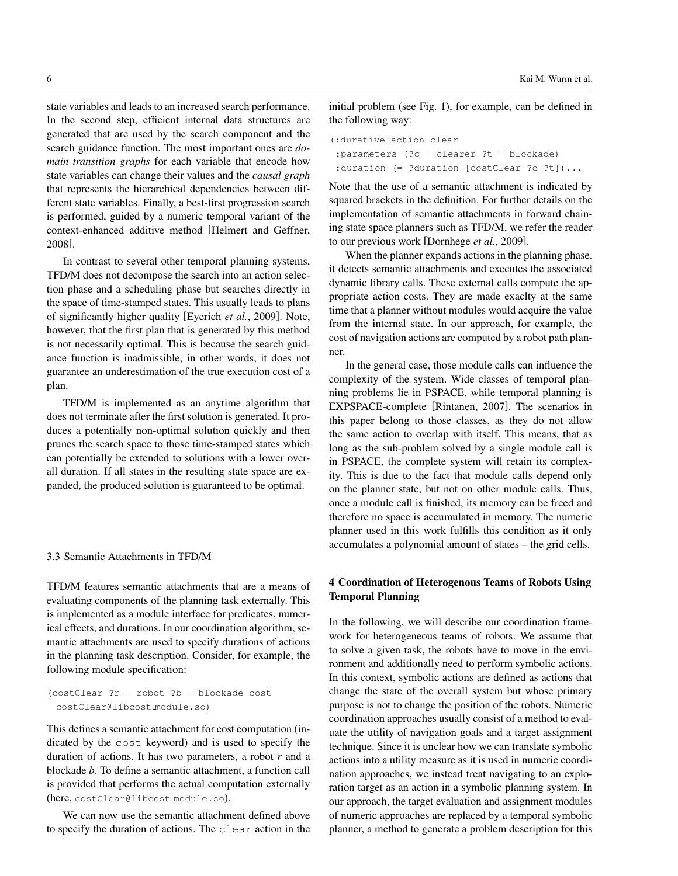state variables and leads to an increased search performance. In the second step, efficient internal data structures are generated that are used by the search component and the search guidance function. The most important ones are *domain transition graphs* for each variable that encode how state variables can change their values and the *causal graph* that represents the hierarchical dependencies between different state variables. Finally, a best-first progression search is performed, guided by a numeric temporal variant of the context-enhanced additive method [Helmert and Geffner, 2008].

In contrast to several other temporal planning systems, TFD/M does not decompose the search into an action selection phase and a scheduling phase but searches directly in the space of time-stamped states. This usually leads to plans of significantly higher quality [Eyerich *et al.*, 2009]. Note, however, that the first plan that is generated by this method is not necessarily optimal. This is because the search guidance function is inadmissible, in other words, it does not guarantee an underestimation of the true execution cost of a plan.

TFD/M is implemented as an anytime algorithm that does not terminate after the first solution is generated. It produces a potentially non-optimal solution quickly and then prunes the search space to those time-stamped states which can potentially be extended to solutions with a lower overall duration. If all states in the resulting state space are expanded, the produced solution is guaranteed to be optimal.

## 3.3 Semantic Attachments in TFD/M

TFD/M features semantic attachments that are a means of evaluating components of the planning task externally. This is implemented as a module interface for predicates, numerical effects, and durations. In our coordination algorithm, semantic attachments are used to specify durations of actions in the planning task description. Consider, for example, the following module specification:

(costClear ?r - robot ?b - blockade cost costClear@libcost module.so)

This defines a semantic attachment for cost computation (indicated by the cost keyword) and is used to specify the duration of actions. It has two parameters, a robot *r* and a blockade *b*. To define a semantic attachment, a function call is provided that performs the actual computation externally (here, costClear@libcost module.so).

We can now use the semantic attachment defined above to specify the duration of actions. The clear action in the initial problem (see Fig. 1), for example, can be defined in the following way:

```
(:durative-action clear
:parameters (?c - clearer ?t - blockade)
:duration (= ?duration [costClear ?c ?t])...
```
Note that the use of a semantic attachment is indicated by squared brackets in the definition. For further details on the implementation of semantic attachments in forward chaining state space planners such as TFD/M, we refer the reader to our previous work [Dornhege *et al.*, 2009].

When the planner expands actions in the planning phase, it detects semantic attachments and executes the associated dynamic library calls. These external calls compute the appropriate action costs. They are made exaclty at the same time that a planner without modules would acquire the value from the internal state. In our approach, for example, the cost of navigation actions are computed by a robot path planner.

In the general case, those module calls can influence the complexity of the system. Wide classes of temporal planning problems lie in PSPACE, while temporal planning is EXPSPACE-complete [Rintanen, 2007]. The scenarios in this paper belong to those classes, as they do not allow the same action to overlap with itself. This means, that as long as the sub-problem solved by a single module call is in PSPACE, the complete system will retain its complexity. This is due to the fact that module calls depend only on the planner state, but not on other module calls. Thus, once a module call is finished, its memory can be freed and therefore no space is accumulated in memory. The numeric planner used in this work fulfills this condition as it only accumulates a polynomial amount of states – the grid cells.

# **4 Coordination of Heterogenous Teams of Robots Using Temporal Planning**

In the following, we will describe our coordination framework for heterogeneous teams of robots. We assume that to solve a given task, the robots have to move in the environment and additionally need to perform symbolic actions. In this context, symbolic actions are defined as actions that change the state of the overall system but whose primary purpose is not to change the position of the robots. Numeric coordination approaches usually consist of a method to evaluate the utility of navigation goals and a target assignment technique. Since it is unclear how we can translate symbolic actions into a utility measure as it is used in numeric coordination approaches, we instead treat navigating to an exploration target as an action in a symbolic planning system. In our approach, the target evaluation and assignment modules of numeric approaches are replaced by a temporal symbolic planner, a method to generate a problem description for this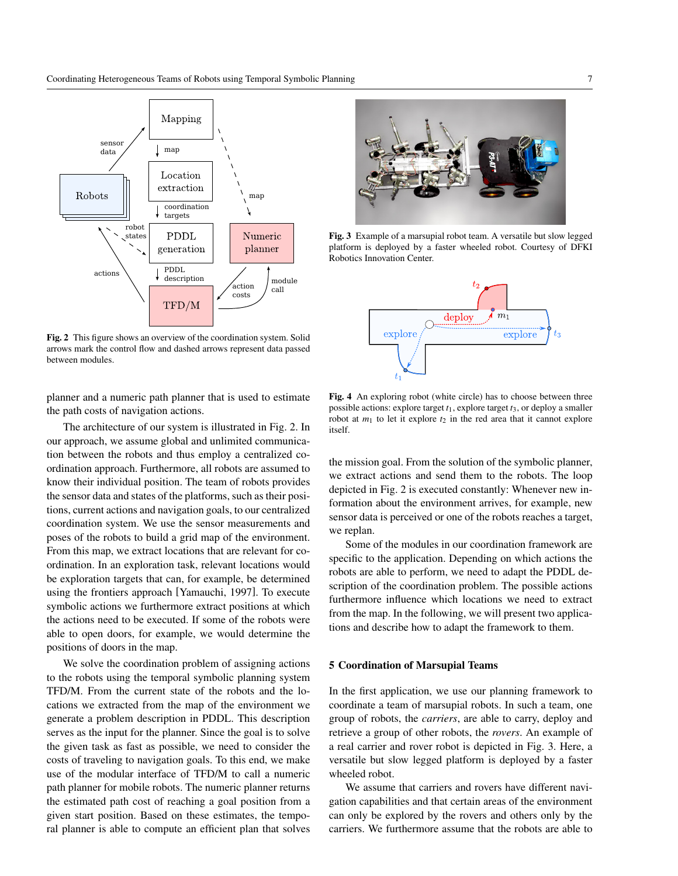

**Fig. 2** This figure shows an overview of the coordination system. Solid arrows mark the control flow and dashed arrows represent data passed between modules.

planner and a numeric path planner that is used to estimate the path costs of navigation actions.

The architecture of our system is illustrated in Fig. 2. In our approach, we assume global and unlimited communication between the robots and thus employ a centralized coordination approach. Furthermore, all robots are assumed to know their individual position. The team of robots provides the sensor data and states of the platforms, such as their positions, current actions and navigation goals, to our centralized coordination system. We use the sensor measurements and poses of the robots to build a grid map of the environment. From this map, we extract locations that are relevant for coordination. In an exploration task, relevant locations would be exploration targets that can, for example, be determined using the frontiers approach [Yamauchi, 1997]. To execute symbolic actions we furthermore extract positions at which the actions need to be executed. If some of the robots were able to open doors, for example, we would determine the positions of doors in the map.

We solve the coordination problem of assigning actions to the robots using the temporal symbolic planning system TFD/M. From the current state of the robots and the locations we extracted from the map of the environment we generate a problem description in PDDL. This description serves as the input for the planner. Since the goal is to solve the given task as fast as possible, we need to consider the costs of traveling to navigation goals. To this end, we make use of the modular interface of TFD/M to call a numeric path planner for mobile robots. The numeric planner returns the estimated path cost of reaching a goal position from a given start position. Based on these estimates, the temporal planner is able to compute an efficient plan that solves



**Fig. 3** Example of a marsupial robot team. A versatile but slow legged platform is deployed by a faster wheeled robot. Courtesy of DFKI Robotics Innovation Center.



**Fig. 4** An exploring robot (white circle) has to choose between three possible actions: explore target *t*1, explore target *t*3, or deploy a smaller robot at  $m_1$  to let it explore  $t_2$  in the red area that it cannot explore itself.

the mission goal. From the solution of the symbolic planner, we extract actions and send them to the robots. The loop depicted in Fig. 2 is executed constantly: Whenever new information about the environment arrives, for example, new sensor data is perceived or one of the robots reaches a target, we replan.

Some of the modules in our coordination framework are specific to the application. Depending on which actions the robots are able to perform, we need to adapt the PDDL description of the coordination problem. The possible actions furthermore influence which locations we need to extract from the map. In the following, we will present two applications and describe how to adapt the framework to them.

## **5 Coordination of Marsupial Teams**

In the first application, we use our planning framework to coordinate a team of marsupial robots. In such a team, one group of robots, the *carriers*, are able to carry, deploy and retrieve a group of other robots, the *rovers*. An example of a real carrier and rover robot is depicted in Fig. 3. Here, a versatile but slow legged platform is deployed by a faster wheeled robot.

We assume that carriers and rovers have different navigation capabilities and that certain areas of the environment can only be explored by the rovers and others only by the carriers. We furthermore assume that the robots are able to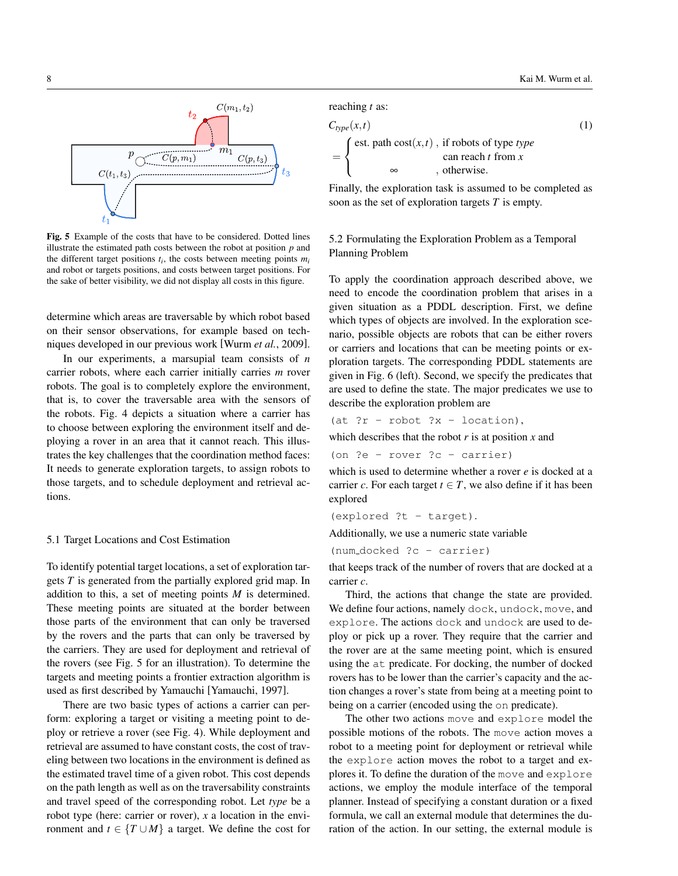

**Fig. 5** Example of the costs that have to be considered. Dotted lines illustrate the estimated path costs between the robot at position *p* and the different target positions  $t_i$ , the costs between meeting points  $m_i$ and robot or targets positions, and costs between target positions. For the sake of better visibility, we did not display all costs in this figure.

determine which areas are traversable by which robot based on their sensor observations, for example based on techniques developed in our previous work [Wurm *et al.*, 2009].

In our experiments, a marsupial team consists of *n* carrier robots, where each carrier initially carries *m* rover robots. The goal is to completely explore the environment, that is, to cover the traversable area with the sensors of the robots. Fig. 4 depicts a situation where a carrier has to choose between exploring the environment itself and deploying a rover in an area that it cannot reach. This illustrates the key challenges that the coordination method faces: It needs to generate exploration targets, to assign robots to those targets, and to schedule deployment and retrieval actions.

# 5.1 Target Locations and Cost Estimation

To identify potential target locations, a set of exploration targets *T* is generated from the partially explored grid map. In addition to this, a set of meeting points *M* is determined. These meeting points are situated at the border between those parts of the environment that can only be traversed by the rovers and the parts that can only be traversed by the carriers. They are used for deployment and retrieval of the rovers (see Fig. 5 for an illustration). To determine the targets and meeting points a frontier extraction algorithm is used as first described by Yamauchi [Yamauchi, 1997].

There are two basic types of actions a carrier can perform: exploring a target or visiting a meeting point to deploy or retrieve a rover (see Fig. 4). While deployment and retrieval are assumed to have constant costs, the cost of traveling between two locations in the environment is defined as the estimated travel time of a given robot. This cost depends on the path length as well as on the traversability constraints and travel speed of the corresponding robot. Let *type* be a robot type (here: carrier or rover), *x* a location in the environment and  $t \in \{T \cup M\}$  a target. We define the cost for



Finally, the exploration task is assumed to be completed as soon as the set of exploration targets *T* is empty.

# 5.2 Formulating the Exploration Problem as a Temporal Planning Problem

To apply the coordination approach described above, we need to encode the coordination problem that arises in a given situation as a PDDL description. First, we define which types of objects are involved. In the exploration scenario, possible objects are robots that can be either rovers or carriers and locations that can be meeting points or exploration targets. The corresponding PDDL statements are given in Fig. 6 (left). Second, we specify the predicates that are used to define the state. The major predicates we use to describe the exploration problem are

(at  $?r$  - robot  $?x$  - location),

which describes that the robot *r* is at position *x* and

(on ?e - rover ?c - carrier)

which is used to determine whether a rover *e* is docked at a carrier *c*. For each target  $t \in T$ , we also define if it has been explored

(explored ?t - target).

Additionally, we use a numeric state variable

```
(num docked ?c - carrier)
```
that keeps track of the number of rovers that are docked at a carrier *c*.

Third, the actions that change the state are provided. We define four actions, namely dock, undock, move, and explore. The actions dock and undock are used to deploy or pick up a rover. They require that the carrier and the rover are at the same meeting point, which is ensured using the at predicate. For docking, the number of docked rovers has to be lower than the carrier's capacity and the action changes a rover's state from being at a meeting point to being on a carrier (encoded using the on predicate).

The other two actions move and explore model the possible motions of the robots. The move action moves a robot to a meeting point for deployment or retrieval while the explore action moves the robot to a target and explores it. To define the duration of the move and explore actions, we employ the module interface of the temporal planner. Instead of specifying a constant duration or a fixed formula, we call an external module that determines the duration of the action. In our setting, the external module is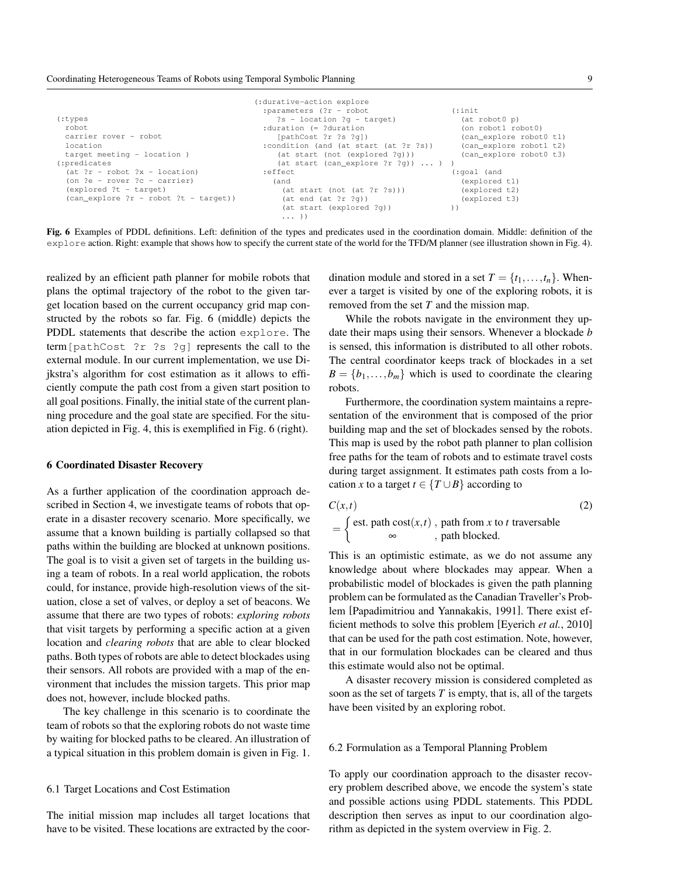```
(:types
 robot
 carrier rover - robot
 location
 target meeting - location )
(:predicates
  (at ?r - robot ?x - location)
  (on ?e - rover ?c - carrier)
  (explored ?t - target)
  (can_explore ?r - robot ?t - target))
                                           (:durative-action explore
                                             :parameters (?r - robot
                                                ?s - location ?g - target)
                                             :duration (= ?duration
                                               [pathCost ?r ?s ?g])
                                             :condition (and (at start (at ?r ?s))
                                                (at start (not (explored ?g)))
                                                (at start (can_explore ?r ?g)) ... )
)
                                             :effect
                                               (and
                                                 (at start (not (at ?r ?s)))
                                                 (at end (at ?r ?g))
                                                 (at start (explored ?g))
                                                 ... ))
                                                                                       (:init
                                                                                       (at robot0 p)
                                                                                         (on robot1 robot0)
                                                                                        (can_explore robot0 t1)
                                                                                         (can_explore robot1 t2)
                                                                                         (can_explore robot0 t3)
                                                                                       (:goal (and
                                                                                         (explored t1)
                                                                                         (explored t2)
                                                                                         (explored t3)
                                                                                       ))
```
**Fig. 6** Examples of PDDL definitions. Left: definition of the types and predicates used in the coordination domain. Middle: definition of the explore action. Right: example that shows how to specify the current state of the world for the TFD/M planner (see illustration shown in Fig. 4).

realized by an efficient path planner for mobile robots that plans the optimal trajectory of the robot to the given target location based on the current occupancy grid map constructed by the robots so far. Fig. 6 (middle) depicts the PDDL statements that describe the action explore. The term[pathCost ?r ?s ?g] represents the call to the external module. In our current implementation, we use Dijkstra's algorithm for cost estimation as it allows to efficiently compute the path cost from a given start position to all goal positions. Finally, the initial state of the current planning procedure and the goal state are specified. For the situation depicted in Fig. 4, this is exemplified in Fig. 6 (right).

#### **6 Coordinated Disaster Recovery**

As a further application of the coordination approach described in Section 4, we investigate teams of robots that operate in a disaster recovery scenario. More specifically, we assume that a known building is partially collapsed so that paths within the building are blocked at unknown positions. The goal is to visit a given set of targets in the building using a team of robots. In a real world application, the robots could, for instance, provide high-resolution views of the situation, close a set of valves, or deploy a set of beacons. We assume that there are two types of robots: *exploring robots* that visit targets by performing a specific action at a given location and *clearing robots* that are able to clear blocked paths. Both types of robots are able to detect blockades using their sensors. All robots are provided with a map of the environment that includes the mission targets. This prior map does not, however, include blocked paths.

The key challenge in this scenario is to coordinate the team of robots so that the exploring robots do not waste time by waiting for blocked paths to be cleared. An illustration of a typical situation in this problem domain is given in Fig. 1.

## 6.1 Target Locations and Cost Estimation

The initial mission map includes all target locations that have to be visited. These locations are extracted by the coor-

dination module and stored in a set  $T = \{t_1, \ldots, t_n\}$ . Whenever a target is visited by one of the exploring robots, it is removed from the set *T* and the mission map.

While the robots navigate in the environment they update their maps using their sensors. Whenever a blockade *b* is sensed, this information is distributed to all other robots. The central coordinator keeps track of blockades in a set  $B = \{b_1, \ldots, b_m\}$  which is used to coordinate the clearing robots.

Furthermore, the coordination system maintains a representation of the environment that is composed of the prior building map and the set of blockades sensed by the robots. This map is used by the robot path planner to plan collision free paths for the team of robots and to estimate travel costs during target assignment. It estimates path costs from a location *x* to a target  $t \in \{T \cup B\}$  according to

$$
C(x,t)
$$
\n
$$
= \begin{cases}\n\text{est. path } \text{cost}(x,t), \text{ path from } x \text{ to } t \text{ traversable} \\
\infty, \text{ path blocked.}\n\end{cases}
$$
\n(2)

This is an optimistic estimate, as we do not assume any knowledge about where blockades may appear. When a probabilistic model of blockades is given the path planning problem can be formulated as the Canadian Traveller's Problem [Papadimitriou and Yannakakis, 1991]. There exist efficient methods to solve this problem [Eyerich *et al.*, 2010] that can be used for the path cost estimation. Note, however, that in our formulation blockades can be cleared and thus this estimate would also not be optimal.

A disaster recovery mission is considered completed as soon as the set of targets *T* is empty, that is, all of the targets have been visited by an exploring robot.

## 6.2 Formulation as a Temporal Planning Problem

To apply our coordination approach to the disaster recovery problem described above, we encode the system's state and possible actions using PDDL statements. This PDDL description then serves as input to our coordination algorithm as depicted in the system overview in Fig. 2.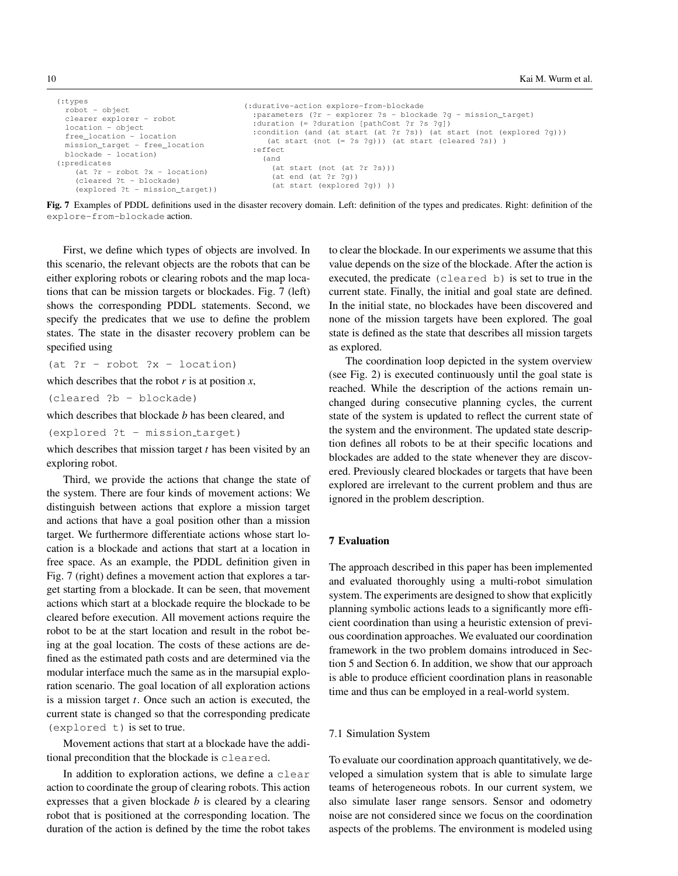```
(:types
 robot - object
 clearer explorer - robot
  location - object
 free_location - location
 mission_target - free_location
 blockade - location)
(:predicates
    (at ?r - robot ?x - location)
    (cleared ?t - blockade)
    (explored ?t - mission_target))
                                         (:durative-action explore-from-blockade
                                           :parameters (?r - explorer ?s - blockade ?g - mission_target)
                                           :duration (= ?duration [pathCost ?r ?s ?g])
                                           :condition (and (at start (at ?r ?s)) (at start (not (explored ?g)))
                                              (at start (not (= ?s ?g))) (at start (cleared ?s)) )
                                           :effect
                                             (and
                                               (at start (not (at ?r ?s)))
                                               (at end (at ?r ?g))
                                               (at start (explored ?g)) ))
```


First, we define which types of objects are involved. In this scenario, the relevant objects are the robots that can be either exploring robots or clearing robots and the map locations that can be mission targets or blockades. Fig. 7 (left) shows the corresponding PDDL statements. Second, we specify the predicates that we use to define the problem states. The state in the disaster recovery problem can be specified using

(at ?r - robot ?x - location)

which describes that the robot *r* is at position *x*,

(cleared ?b - blockade)

which describes that blockade *b* has been cleared, and

(explored ?t - mission target)

which describes that mission target *t* has been visited by an exploring robot.

Third, we provide the actions that change the state of the system. There are four kinds of movement actions: We distinguish between actions that explore a mission target and actions that have a goal position other than a mission target. We furthermore differentiate actions whose start location is a blockade and actions that start at a location in free space. As an example, the PDDL definition given in Fig. 7 (right) defines a movement action that explores a target starting from a blockade. It can be seen, that movement actions which start at a blockade require the blockade to be cleared before execution. All movement actions require the robot to be at the start location and result in the robot being at the goal location. The costs of these actions are defined as the estimated path costs and are determined via the modular interface much the same as in the marsupial exploration scenario. The goal location of all exploration actions is a mission target *t*. Once such an action is executed, the current state is changed so that the corresponding predicate (explored t) is set to true.

Movement actions that start at a blockade have the additional precondition that the blockade is cleared.

In addition to exploration actions, we define a clear action to coordinate the group of clearing robots. This action expresses that a given blockade *b* is cleared by a clearing robot that is positioned at the corresponding location. The duration of the action is defined by the time the robot takes

to clear the blockade. In our experiments we assume that this value depends on the size of the blockade. After the action is executed, the predicate (cleared b) is set to true in the current state. Finally, the initial and goal state are defined. In the initial state, no blockades have been discovered and none of the mission targets have been explored. The goal state is defined as the state that describes all mission targets as explored.

The coordination loop depicted in the system overview (see Fig. 2) is executed continuously until the goal state is reached. While the description of the actions remain unchanged during consecutive planning cycles, the current state of the system is updated to reflect the current state of the system and the environment. The updated state description defines all robots to be at their specific locations and blockades are added to the state whenever they are discovered. Previously cleared blockades or targets that have been explored are irrelevant to the current problem and thus are ignored in the problem description.

# **7 Evaluation**

The approach described in this paper has been implemented and evaluated thoroughly using a multi-robot simulation system. The experiments are designed to show that explicitly planning symbolic actions leads to a significantly more efficient coordination than using a heuristic extension of previous coordination approaches. We evaluated our coordination framework in the two problem domains introduced in Section 5 and Section 6. In addition, we show that our approach is able to produce efficient coordination plans in reasonable time and thus can be employed in a real-world system.

# 7.1 Simulation System

To evaluate our coordination approach quantitatively, we developed a simulation system that is able to simulate large teams of heterogeneous robots. In our current system, we also simulate laser range sensors. Sensor and odometry noise are not considered since we focus on the coordination aspects of the problems. The environment is modeled using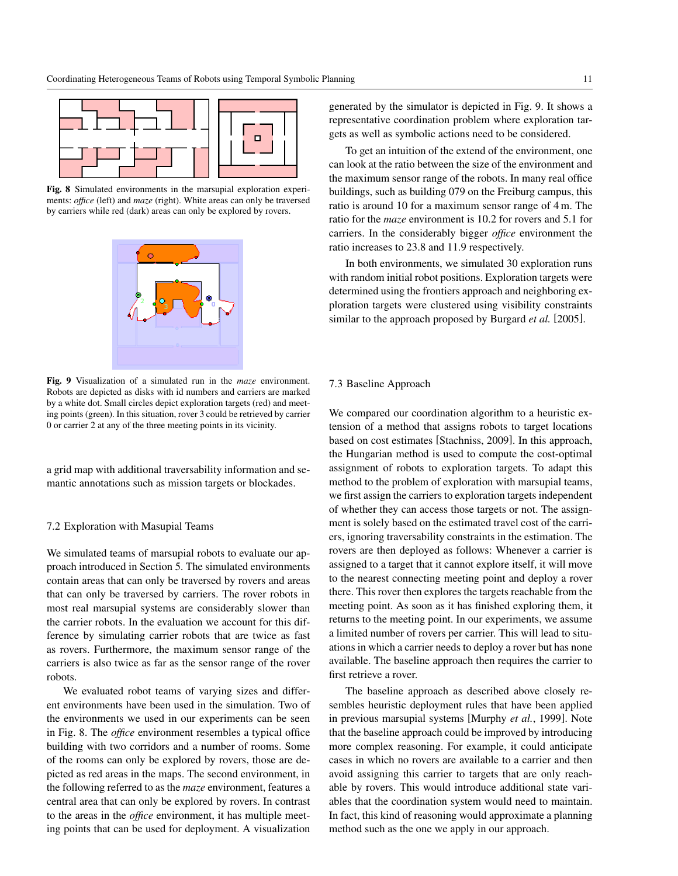

**Fig. 8** Simulated environments in the marsupial exploration experiments: *office* (left) and *maze* (right). White areas can only be traversed by carriers while red (dark) areas can only be explored by rovers.



**Fig. 9** Visualization of a simulated run in the *maze* environment. Robots are depicted as disks with id numbers and carriers are marked by a white dot. Small circles depict exploration targets (red) and meeting points (green). In this situation, rover 3 could be retrieved by carrier 0 or carrier 2 at any of the three meeting points in its vicinity.

a grid map with additional traversability information and semantic annotations such as mission targets or blockades.

### 7.2 Exploration with Masupial Teams

We simulated teams of marsupial robots to evaluate our approach introduced in Section 5. The simulated environments contain areas that can only be traversed by rovers and areas that can only be traversed by carriers. The rover robots in most real marsupial systems are considerably slower than the carrier robots. In the evaluation we account for this difference by simulating carrier robots that are twice as fast as rovers. Furthermore, the maximum sensor range of the carriers is also twice as far as the sensor range of the rover robots.

We evaluated robot teams of varying sizes and different environments have been used in the simulation. Two of the environments we used in our experiments can be seen in Fig. 8. The *office* environment resembles a typical office building with two corridors and a number of rooms. Some of the rooms can only be explored by rovers, those are depicted as red areas in the maps. The second environment, in the following referred to as the *maze* environment, features a central area that can only be explored by rovers. In contrast to the areas in the *office* environment, it has multiple meeting points that can be used for deployment. A visualization

generated by the simulator is depicted in Fig. 9. It shows a representative coordination problem where exploration targets as well as symbolic actions need to be considered.

To get an intuition of the extend of the environment, one can look at the ratio between the size of the environment and the maximum sensor range of the robots. In many real office buildings, such as building 079 on the Freiburg campus, this ratio is around 10 for a maximum sensor range of 4 m. The ratio for the *maze* environment is 10.2 for rovers and 5.1 for carriers. In the considerably bigger *office* environment the ratio increases to 23.8 and 11.9 respectively.

In both environments, we simulated 30 exploration runs with random initial robot positions. Exploration targets were determined using the frontiers approach and neighboring exploration targets were clustered using visibility constraints similar to the approach proposed by Burgard *et al.* [2005].

## 7.3 Baseline Approach

We compared our coordination algorithm to a heuristic extension of a method that assigns robots to target locations based on cost estimates [Stachniss, 2009]. In this approach, the Hungarian method is used to compute the cost-optimal assignment of robots to exploration targets. To adapt this method to the problem of exploration with marsupial teams, we first assign the carriers to exploration targets independent of whether they can access those targets or not. The assignment is solely based on the estimated travel cost of the carriers, ignoring traversability constraints in the estimation. The rovers are then deployed as follows: Whenever a carrier is assigned to a target that it cannot explore itself, it will move to the nearest connecting meeting point and deploy a rover there. This rover then explores the targets reachable from the meeting point. As soon as it has finished exploring them, it returns to the meeting point. In our experiments, we assume a limited number of rovers per carrier. This will lead to situations in which a carrier needs to deploy a rover but has none available. The baseline approach then requires the carrier to first retrieve a rover.

The baseline approach as described above closely resembles heuristic deployment rules that have been applied in previous marsupial systems [Murphy *et al.*, 1999]. Note that the baseline approach could be improved by introducing more complex reasoning. For example, it could anticipate cases in which no rovers are available to a carrier and then avoid assigning this carrier to targets that are only reachable by rovers. This would introduce additional state variables that the coordination system would need to maintain. In fact, this kind of reasoning would approximate a planning method such as the one we apply in our approach.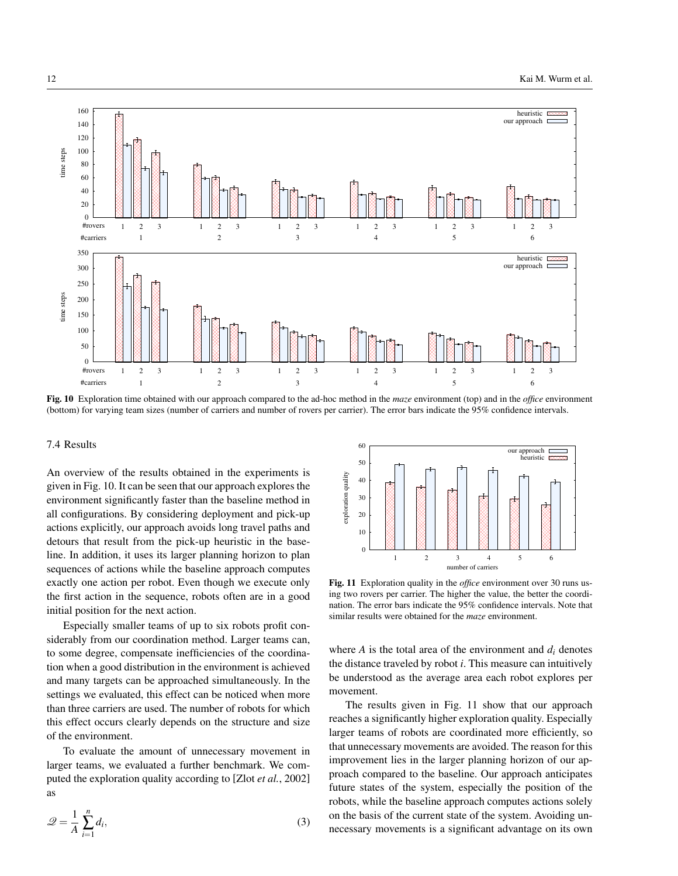

**Fig. 10** Exploration time obtained with our approach compared to the ad-hoc method in the *maze* environment (top) and in the *office* environment (bottom) for varying team sizes (number of carriers and number of rovers per carrier). The error bars indicate the 95% confidence intervals.

# 7.4 Results

An overview of the results obtained in the experiments is given in Fig. 10. It can be seen that our approach explores the environment significantly faster than the baseline method in all configurations. By considering deployment and pick-up actions explicitly, our approach avoids long travel paths and detours that result from the pick-up heuristic in the baseline. In addition, it uses its larger planning horizon to plan sequences of actions while the baseline approach computes exactly one action per robot. Even though we execute only the first action in the sequence, robots often are in a good initial position for the next action.

Especially smaller teams of up to six robots profit considerably from our coordination method. Larger teams can, to some degree, compensate inefficiencies of the coordination when a good distribution in the environment is achieved and many targets can be approached simultaneously. In the settings we evaluated, this effect can be noticed when more than three carriers are used. The number of robots for which this effect occurs clearly depends on the structure and size of the environment.

To evaluate the amount of unnecessary movement in larger teams, we evaluated a further benchmark. We computed the exploration quality according to [Zlot *et al.*, 2002] as

$$
\mathcal{Q} = \frac{1}{A} \sum_{i=1}^{n} d_i,
$$
\n(3)



**Fig. 11** Exploration quality in the *office* environment over 30 runs using two rovers per carrier. The higher the value, the better the coordination. The error bars indicate the 95% confidence intervals. Note that similar results were obtained for the *maze* environment.

where  $A$  is the total area of the environment and  $d_i$  denotes the distance traveled by robot *i*. This measure can intuitively be understood as the average area each robot explores per movement.

The results given in Fig. 11 show that our approach reaches a significantly higher exploration quality. Especially larger teams of robots are coordinated more efficiently, so that unnecessary movements are avoided. The reason for this improvement lies in the larger planning horizon of our approach compared to the baseline. Our approach anticipates future states of the system, especially the position of the robots, while the baseline approach computes actions solely on the basis of the current state of the system. Avoiding unnecessary movements is a significant advantage on its own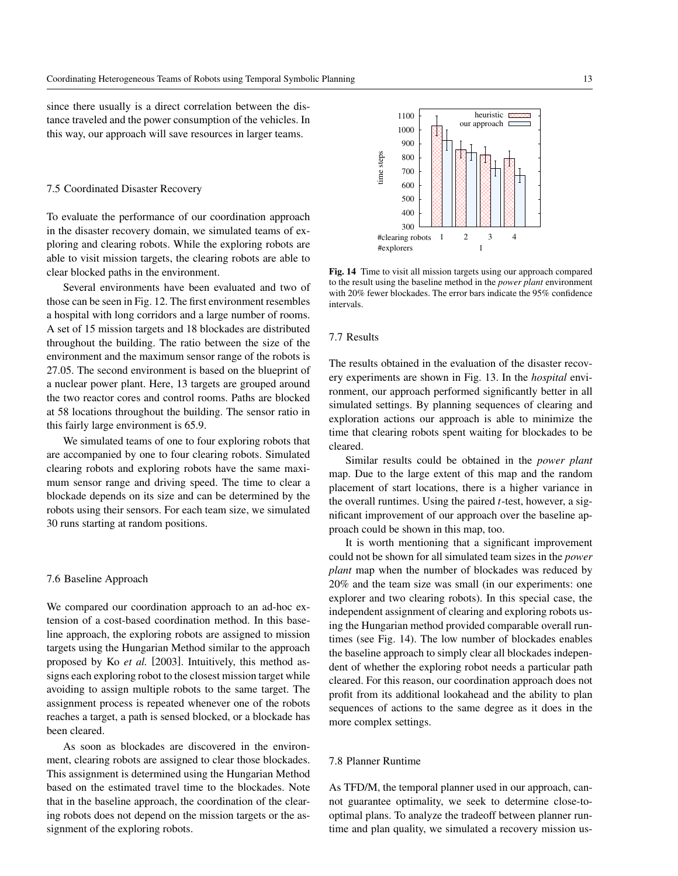since there usually is a direct correlation between the distance traveled and the power consumption of the vehicles. In this way, our approach will save resources in larger teams.

## 7.5 Coordinated Disaster Recovery

To evaluate the performance of our coordination approach in the disaster recovery domain, we simulated teams of exploring and clearing robots. While the exploring robots are able to visit mission targets, the clearing robots are able to clear blocked paths in the environment.

Several environments have been evaluated and two of those can be seen in Fig. 12. The first environment resembles a hospital with long corridors and a large number of rooms. A set of 15 mission targets and 18 blockades are distributed throughout the building. The ratio between the size of the environment and the maximum sensor range of the robots is 27.05. The second environment is based on the blueprint of a nuclear power plant. Here, 13 targets are grouped around the two reactor cores and control rooms. Paths are blocked at 58 locations throughout the building. The sensor ratio in this fairly large environment is 65.9.

We simulated teams of one to four exploring robots that are accompanied by one to four clearing robots. Simulated clearing robots and exploring robots have the same maximum sensor range and driving speed. The time to clear a blockade depends on its size and can be determined by the robots using their sensors. For each team size, we simulated 30 runs starting at random positions.

## 7.6 Baseline Approach

We compared our coordination approach to an ad-hoc extension of a cost-based coordination method. In this baseline approach, the exploring robots are assigned to mission targets using the Hungarian Method similar to the approach proposed by Ko *et al.* [2003]. Intuitively, this method assigns each exploring robot to the closest mission target while avoiding to assign multiple robots to the same target. The assignment process is repeated whenever one of the robots reaches a target, a path is sensed blocked, or a blockade has been cleared.

As soon as blockades are discovered in the environment, clearing robots are assigned to clear those blockades. This assignment is determined using the Hungarian Method based on the estimated travel time to the blockades. Note that in the baseline approach, the coordination of the clearing robots does not depend on the mission targets or the assignment of the exploring robots.



**Fig. 14** Time to visit all mission targets using our approach compared to the result using the baseline method in the *power plant* environment with 20% fewer blockades. The error bars indicate the 95% confidence intervals.

## 7.7 Results

The results obtained in the evaluation of the disaster recovery experiments are shown in Fig. 13. In the *hospital* environment, our approach performed significantly better in all simulated settings. By planning sequences of clearing and exploration actions our approach is able to minimize the time that clearing robots spent waiting for blockades to be cleared.

Similar results could be obtained in the *power plant* map. Due to the large extent of this map and the random placement of start locations, there is a higher variance in the overall runtimes. Using the paired *t*-test, however, a significant improvement of our approach over the baseline approach could be shown in this map, too.

It is worth mentioning that a significant improvement could not be shown for all simulated team sizes in the *power plant* map when the number of blockades was reduced by 20% and the team size was small (in our experiments: one explorer and two clearing robots). In this special case, the independent assignment of clearing and exploring robots using the Hungarian method provided comparable overall runtimes (see Fig. 14). The low number of blockades enables the baseline approach to simply clear all blockades independent of whether the exploring robot needs a particular path cleared. For this reason, our coordination approach does not profit from its additional lookahead and the ability to plan sequences of actions to the same degree as it does in the more complex settings.

## 7.8 Planner Runtime

As TFD/M, the temporal planner used in our approach, cannot guarantee optimality, we seek to determine close-tooptimal plans. To analyze the tradeoff between planner runtime and plan quality, we simulated a recovery mission us-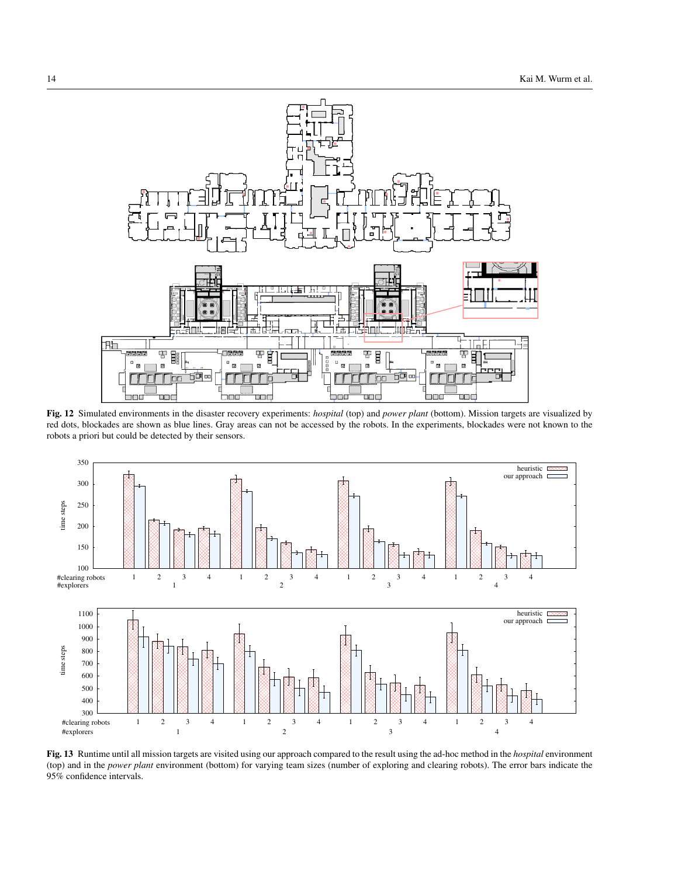

**Fig. 12** Simulated environments in the disaster recovery experiments: *hospital* (top) and *power plant* (bottom). Mission targets are visualized by red dots, blockades are shown as blue lines. Gray areas can not be accessed by the robots. In the experiments, blockades were not known to the robots a priori but could be detected by their sensors.



**Fig. 13** Runtime until all mission targets are visited using our approach compared to the result using the ad-hoc method in the *hospital* environment (top) and in the *power plant* environment (bottom) for varying team sizes (number of exploring and clearing robots). The error bars indicate the 95% confidence intervals.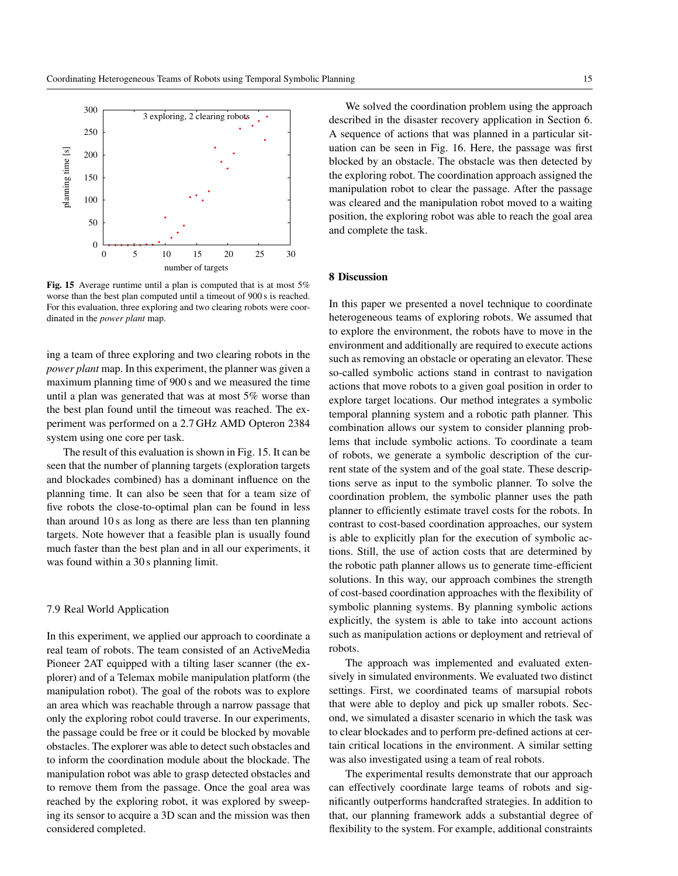![](_page_14_Figure_1.jpeg)

**Fig. 15** Average runtime until a plan is computed that is at most 5% worse than the best plan computed until a timeout of 900 s is reached. For this evaluation, three exploring and two clearing robots were coordinated in the *power plant* map.

ing a team of three exploring and two clearing robots in the *power plant* map. In this experiment, the planner was given a maximum planning time of 900 s and we measured the time until a plan was generated that was at most 5% worse than the best plan found until the timeout was reached. The experiment was performed on a 2.7 GHz AMD Opteron 2384 system using one core per task.

The result of this evaluation is shown in Fig. 15. It can be seen that the number of planning targets (exploration targets and blockades combined) has a dominant influence on the planning time. It can also be seen that for a team size of five robots the close-to-optimal plan can be found in less than around 10 s as long as there are less than ten planning targets. Note however that a feasible plan is usually found much faster than the best plan and in all our experiments, it was found within a 30 s planning limit.

## 7.9 Real World Application

In this experiment, we applied our approach to coordinate a real team of robots. The team consisted of an ActiveMedia Pioneer 2AT equipped with a tilting laser scanner (the explorer) and of a Telemax mobile manipulation platform (the manipulation robot). The goal of the robots was to explore an area which was reachable through a narrow passage that only the exploring robot could traverse. In our experiments, the passage could be free or it could be blocked by movable obstacles. The explorer was able to detect such obstacles and to inform the coordination module about the blockade. The manipulation robot was able to grasp detected obstacles and to remove them from the passage. Once the goal area was reached by the exploring robot, it was explored by sweeping its sensor to acquire a 3D scan and the mission was then considered completed.

We solved the coordination problem using the approach described in the disaster recovery application in Section 6. A sequence of actions that was planned in a particular situation can be seen in Fig. 16. Here, the passage was first blocked by an obstacle. The obstacle was then detected by the exploring robot. The coordination approach assigned the manipulation robot to clear the passage. After the passage was cleared and the manipulation robot moved to a waiting position, the exploring robot was able to reach the goal area and complete the task.

# **8 Discussion**

In this paper we presented a novel technique to coordinate heterogeneous teams of exploring robots. We assumed that to explore the environment, the robots have to move in the environment and additionally are required to execute actions such as removing an obstacle or operating an elevator. These so-called symbolic actions stand in contrast to navigation actions that move robots to a given goal position in order to explore target locations. Our method integrates a symbolic temporal planning system and a robotic path planner. This combination allows our system to consider planning problems that include symbolic actions. To coordinate a team of robots, we generate a symbolic description of the current state of the system and of the goal state. These descriptions serve as input to the symbolic planner. To solve the coordination problem, the symbolic planner uses the path planner to efficiently estimate travel costs for the robots. In contrast to cost-based coordination approaches, our system is able to explicitly plan for the execution of symbolic actions. Still, the use of action costs that are determined by the robotic path planner allows us to generate time-efficient solutions. In this way, our approach combines the strength of cost-based coordination approaches with the flexibility of symbolic planning systems. By planning symbolic actions explicitly, the system is able to take into account actions such as manipulation actions or deployment and retrieval of robots.

The approach was implemented and evaluated extensively in simulated environments. We evaluated two distinct settings. First, we coordinated teams of marsupial robots that were able to deploy and pick up smaller robots. Second, we simulated a disaster scenario in which the task was to clear blockades and to perform pre-defined actions at certain critical locations in the environment. A similar setting was also investigated using a team of real robots.

The experimental results demonstrate that our approach can effectively coordinate large teams of robots and significantly outperforms handcrafted strategies. In addition to that, our planning framework adds a substantial degree of flexibility to the system. For example, additional constraints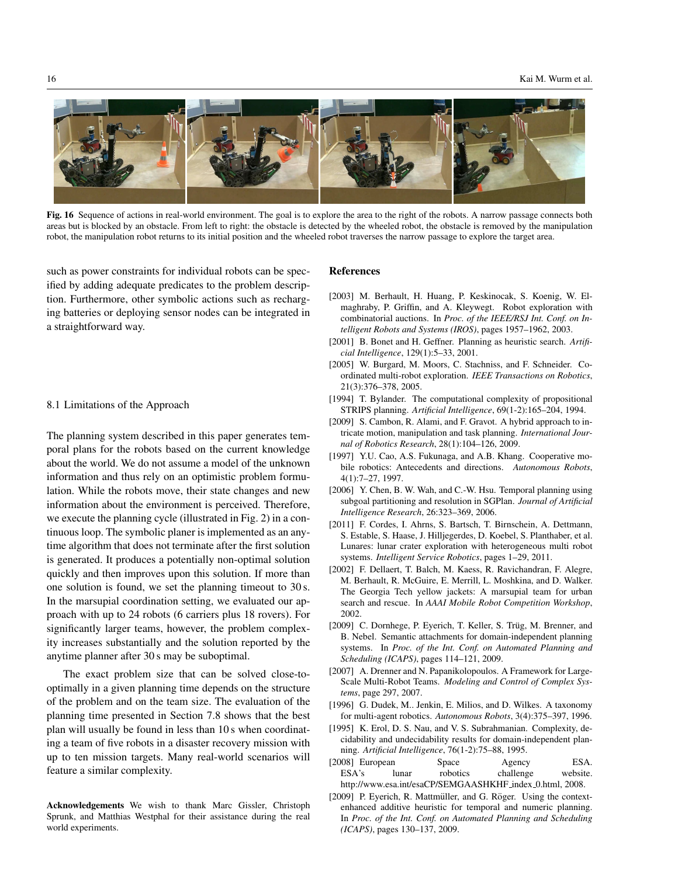![](_page_15_Picture_1.jpeg)

**Fig. 16** Sequence of actions in real-world environment. The goal is to explore the area to the right of the robots. A narrow passage connects both areas but is blocked by an obstacle. From left to right: the obstacle is detected by the wheeled robot, the obstacle is removed by the manipulation robot, the manipulation robot returns to its initial position and the wheeled robot traverses the narrow passage to explore the target area.

such as power constraints for individual robots can be specified by adding adequate predicates to the problem description. Furthermore, other symbolic actions such as recharging batteries or deploying sensor nodes can be integrated in a straightforward way.

# 8.1 Limitations of the Approach

The planning system described in this paper generates temporal plans for the robots based on the current knowledge about the world. We do not assume a model of the unknown information and thus rely on an optimistic problem formulation. While the robots move, their state changes and new information about the environment is perceived. Therefore, we execute the planning cycle (illustrated in Fig. 2) in a continuous loop. The symbolic planer is implemented as an anytime algorithm that does not terminate after the first solution is generated. It produces a potentially non-optimal solution quickly and then improves upon this solution. If more than one solution is found, we set the planning timeout to 30 s. In the marsupial coordination setting, we evaluated our approach with up to 24 robots (6 carriers plus 18 rovers). For significantly larger teams, however, the problem complexity increases substantially and the solution reported by the anytime planner after 30 s may be suboptimal.

The exact problem size that can be solved close-tooptimally in a given planning time depends on the structure of the problem and on the team size. The evaluation of the planning time presented in Section 7.8 shows that the best plan will usually be found in less than 10 s when coordinating a team of five robots in a disaster recovery mission with up to ten mission targets. Many real-world scenarios will feature a similar complexity.

## **References**

- [2003] M. Berhault, H. Huang, P. Keskinocak, S. Koenig, W. Elmaghraby, P. Griffin, and A. Kleywegt. Robot exploration with combinatorial auctions. In *Proc. of the IEEE/RSJ Int. Conf. on Intelligent Robots and Systems (IROS)*, pages 1957–1962, 2003.
- [2001] B. Bonet and H. Geffner. Planning as heuristic search. *Artificial Intelligence*, 129(1):5–33, 2001.
- [2005] W. Burgard, M. Moors, C. Stachniss, and F. Schneider. Coordinated multi-robot exploration. *IEEE Transactions on Robotics*, 21(3):376–378, 2005.
- [1994] T. Bylander. The computational complexity of propositional STRIPS planning. *Artificial Intelligence*, 69(1-2):165–204, 1994.
- [2009] S. Cambon, R. Alami, and F. Gravot. A hybrid approach to intricate motion, manipulation and task planning. *International Journal of Robotics Research*, 28(1):104–126, 2009.
- [1997] Y.U. Cao, A.S. Fukunaga, and A.B. Khang. Cooperative mobile robotics: Antecedents and directions. *Autonomous Robots*, 4(1):7–27, 1997.
- [2006] Y. Chen, B. W. Wah, and C.-W. Hsu. Temporal planning using subgoal partitioning and resolution in SGPlan. *Journal of Artificial Intelligence Research*, 26:323–369, 2006.
- [2011] F. Cordes, I. Ahrns, S. Bartsch, T. Birnschein, A. Dettmann, S. Estable, S. Haase, J. Hilljegerdes, D. Koebel, S. Planthaber, et al. Lunares: lunar crater exploration with heterogeneous multi robot systems. *Intelligent Service Robotics*, pages 1–29, 2011.
- [2002] F. Dellaert, T. Balch, M. Kaess, R. Ravichandran, F. Alegre, M. Berhault, R. McGuire, E. Merrill, L. Moshkina, and D. Walker. The Georgia Tech yellow jackets: A marsupial team for urban search and rescue. In *AAAI Mobile Robot Competition Workshop*, 2002.
- [2009] C. Dornhege, P. Eyerich, T. Keller, S. Trüg, M. Brenner, and B. Nebel. Semantic attachments for domain-independent planning systems. In *Proc. of the Int. Conf. on Automated Planning and Scheduling (ICAPS)*, pages 114–121, 2009.
- [2007] A. Drenner and N. Papanikolopoulos. A Framework for Large-Scale Multi-Robot Teams. *Modeling and Control of Complex Systems*, page 297, 2007.
- [1996] G. Dudek, M.. Jenkin, E. Milios, and D. Wilkes. A taxonomy for multi-agent robotics. *Autonomous Robots*, 3(4):375–397, 1996.
- [1995] K. Erol, D. S. Nau, and V. S. Subrahmanian. Complexity, decidability and undecidability results for domain-independent planning. *Artificial Intelligence*, 76(1-2):75–88, 1995.
- [2008] European Space Agency ESA. ESA's lunar robotics challenge website. http://www.esa.int/esaCP/SEMGAASHKHF\_index\_0.html, 2008.
- [2009] P. Eyerich, R. Mattmüller, and G. Röger. Using the contextenhanced additive heuristic for temporal and numeric planning. In *Proc. of the Int. Conf. on Automated Planning and Scheduling (ICAPS)*, pages 130–137, 2009.

**Acknowledgements** We wish to thank Marc Gissler, Christoph Sprunk, and Matthias Westphal for their assistance during the real world experiments.